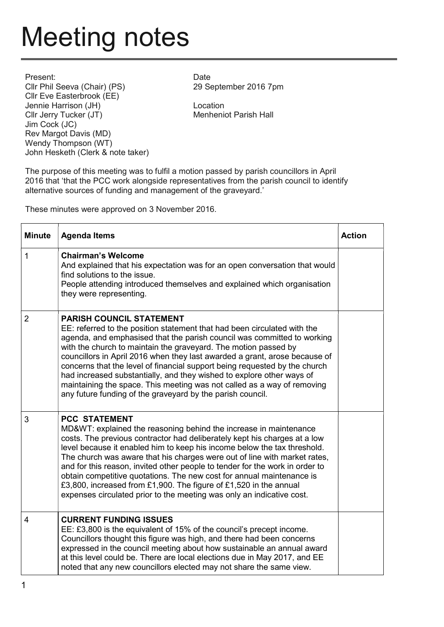## Meeting notes

Present: Cllr Phil Seeva (Chair) (PS) Cllr Eve Easterbrook (EE) Jennie Harrison (JH) Cllr Jerry Tucker (JT) Jim Cock (JC) Rev Margot Davis (MD) Wendy Thompson (WT) John Hesketh (Clerk & note taker)

Date 29 September 2016 7pm

Location Menheniot Parish Hall

The purpose of this meeting was to fulfil a motion passed by parish councillors in April 2016 that 'that the PCC work alongside representatives from the parish council to identify alternative sources of funding and management of the graveyard.'

These minutes were approved on 3 November 2016.

| <b>Minute</b>  | <b>Agenda Items</b>                                                                                                                                                                                                                                                                                                                                                                                                                                                                                                                                                                                                                     | <b>Action</b> |
|----------------|-----------------------------------------------------------------------------------------------------------------------------------------------------------------------------------------------------------------------------------------------------------------------------------------------------------------------------------------------------------------------------------------------------------------------------------------------------------------------------------------------------------------------------------------------------------------------------------------------------------------------------------------|---------------|
| $\overline{1}$ | <b>Chairman's Welcome</b><br>And explained that his expectation was for an open conversation that would<br>find solutions to the issue.<br>People attending introduced themselves and explained which organisation<br>they were representing.                                                                                                                                                                                                                                                                                                                                                                                           |               |
| $\overline{2}$ | <b>PARISH COUNCIL STATEMENT</b><br>EE: referred to the position statement that had been circulated with the<br>agenda, and emphasised that the parish council was committed to working<br>with the church to maintain the graveyard. The motion passed by<br>councillors in April 2016 when they last awarded a grant, arose because of<br>concerns that the level of financial support being requested by the church<br>had increased substantially, and they wished to explore other ways of<br>maintaining the space. This meeting was not called as a way of removing<br>any future funding of the graveyard by the parish council. |               |
| 3              | <b>PCC STATEMENT</b><br>MD&WT: explained the reasoning behind the increase in maintenance<br>costs. The previous contractor had deliberately kept his charges at a low<br>level because it enabled him to keep his income below the tax threshold.<br>The church was aware that his charges were out of line with market rates,<br>and for this reason, invited other people to tender for the work in order to<br>obtain competitive quotations. The new cost for annual maintenance is<br>£3,800, increased from £1,900. The figure of £1,520 in the annual<br>expenses circulated prior to the meeting was only an indicative cost.  |               |
| $\overline{4}$ | <b>CURRENT FUNDING ISSUES</b><br>EE: £3,800 is the equivalent of 15% of the council's precept income.<br>Councillors thought this figure was high, and there had been concerns<br>expressed in the council meeting about how sustainable an annual award<br>at this level could be. There are local elections due in May 2017, and EE<br>noted that any new councillors elected may not share the same view.                                                                                                                                                                                                                            |               |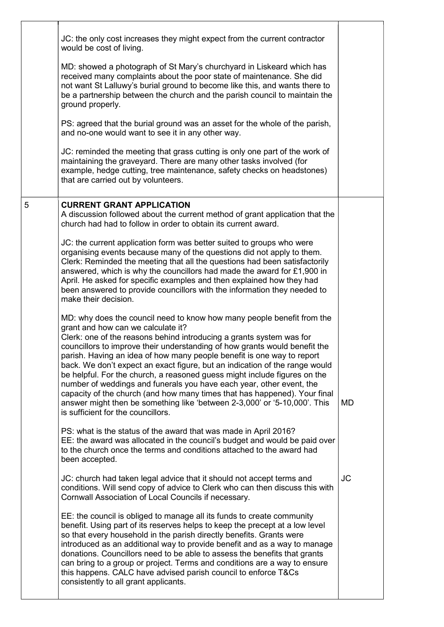|   | JC: the only cost increases they might expect from the current contractor<br>would be cost of living.                                                                                                                                                                                                                                                                                                                                                                                                                                                                                                                                                                                                                                                                            |           |
|---|----------------------------------------------------------------------------------------------------------------------------------------------------------------------------------------------------------------------------------------------------------------------------------------------------------------------------------------------------------------------------------------------------------------------------------------------------------------------------------------------------------------------------------------------------------------------------------------------------------------------------------------------------------------------------------------------------------------------------------------------------------------------------------|-----------|
|   | MD: showed a photograph of St Mary's churchyard in Liskeard which has<br>received many complaints about the poor state of maintenance. She did<br>not want St Lalluwy's burial ground to become like this, and wants there to<br>be a partnership between the church and the parish council to maintain the<br>ground properly.                                                                                                                                                                                                                                                                                                                                                                                                                                                  |           |
|   | PS: agreed that the burial ground was an asset for the whole of the parish,<br>and no-one would want to see it in any other way.                                                                                                                                                                                                                                                                                                                                                                                                                                                                                                                                                                                                                                                 |           |
|   | JC: reminded the meeting that grass cutting is only one part of the work of<br>maintaining the graveyard. There are many other tasks involved (for<br>example, hedge cutting, tree maintenance, safety checks on headstones)<br>that are carried out by volunteers.                                                                                                                                                                                                                                                                                                                                                                                                                                                                                                              |           |
| 5 | <b>CURRENT GRANT APPLICATION</b><br>A discussion followed about the current method of grant application that the<br>church had had to follow in order to obtain its current award.                                                                                                                                                                                                                                                                                                                                                                                                                                                                                                                                                                                               |           |
|   | JC: the current application form was better suited to groups who were<br>organising events because many of the questions did not apply to them.<br>Clerk: Reminded the meeting that all the questions had been satisfactorily<br>answered, which is why the councillors had made the award for £1,900 in<br>April. He asked for specific examples and then explained how they had<br>been answered to provide councillors with the information they needed to<br>make their decision.                                                                                                                                                                                                                                                                                            |           |
|   | MD: why does the council need to know how many people benefit from the<br>grant and how can we calculate it?<br>Clerk: one of the reasons behind introducing a grants system was for<br>councillors to improve their understanding of how grants would benefit the<br>parish. Having an idea of how many people benefit is one way to report<br>back. We don't expect an exact figure, but an indication of the range would<br>be helpful. For the church, a reasoned guess might include figures on the<br>number of weddings and funerals you have each year, other event, the<br>capacity of the church (and how many times that has happened). Your final<br>answer might then be something like 'between 2-3,000' or '5-10,000'. This<br>is sufficient for the councillors. | <b>MD</b> |
|   | PS: what is the status of the award that was made in April 2016?<br>EE: the award was allocated in the council's budget and would be paid over<br>to the church once the terms and conditions attached to the award had<br>been accepted.                                                                                                                                                                                                                                                                                                                                                                                                                                                                                                                                        |           |
|   | JC: church had taken legal advice that it should not accept terms and<br>conditions. Will send copy of advice to Clerk who can then discuss this with<br>Cornwall Association of Local Councils if necessary.                                                                                                                                                                                                                                                                                                                                                                                                                                                                                                                                                                    | <b>JC</b> |
|   | EE: the council is obliged to manage all its funds to create community<br>benefit. Using part of its reserves helps to keep the precept at a low level<br>so that every household in the parish directly benefits. Grants were<br>introduced as an additional way to provide benefit and as a way to manage<br>donations. Councillors need to be able to assess the benefits that grants<br>can bring to a group or project. Terms and conditions are a way to ensure<br>this happens. CALC have advised parish council to enforce T&Cs<br>consistently to all grant applicants.                                                                                                                                                                                                 |           |
|   |                                                                                                                                                                                                                                                                                                                                                                                                                                                                                                                                                                                                                                                                                                                                                                                  |           |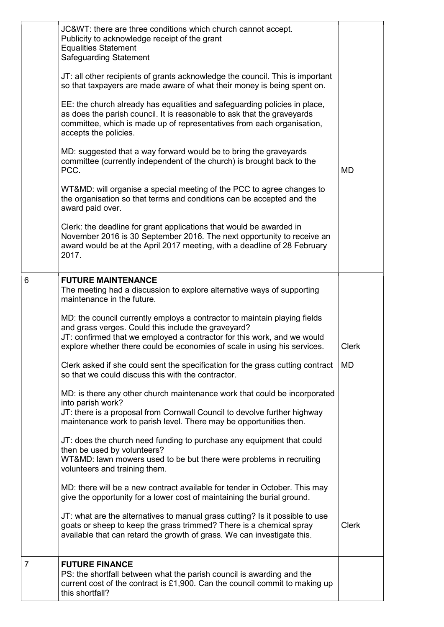|                | JC&WT: there are three conditions which church cannot accept.<br>Publicity to acknowledge receipt of the grant<br><b>Equalities Statement</b><br><b>Safeguarding Statement</b>                                                                                                          |              |
|----------------|-----------------------------------------------------------------------------------------------------------------------------------------------------------------------------------------------------------------------------------------------------------------------------------------|--------------|
|                | JT: all other recipients of grants acknowledge the council. This is important<br>so that taxpayers are made aware of what their money is being spent on.                                                                                                                                |              |
|                | EE: the church already has equalities and safeguarding policies in place,<br>as does the parish council. It is reasonable to ask that the graveyards<br>committee, which is made up of representatives from each organisation,<br>accepts the policies.                                 |              |
|                | MD: suggested that a way forward would be to bring the graveyards<br>committee (currently independent of the church) is brought back to the<br>PCC.                                                                                                                                     | <b>MD</b>    |
|                | WT&MD: will organise a special meeting of the PCC to agree changes to<br>the organisation so that terms and conditions can be accepted and the<br>award paid over.                                                                                                                      |              |
|                | Clerk: the deadline for grant applications that would be awarded in<br>November 2016 is 30 September 2016. The next opportunity to receive an<br>award would be at the April 2017 meeting, with a deadline of 28 February<br>2017.                                                      |              |
| 6              | <b>FUTURE MAINTENANCE</b><br>The meeting had a discussion to explore alternative ways of supporting<br>maintenance in the future.                                                                                                                                                       |              |
|                | MD: the council currently employs a contractor to maintain playing fields<br>and grass verges. Could this include the graveyard?<br>JT: confirmed that we employed a contractor for this work, and we would<br>explore whether there could be economies of scale in using his services. | <b>Clerk</b> |
|                | Clerk asked if she could sent the specification for the grass cutting contract<br>so that we could discuss this with the contractor.                                                                                                                                                    | <b>MD</b>    |
|                | MD: is there any other church maintenance work that could be incorporated<br>into parish work?<br>JT: there is a proposal from Cornwall Council to devolve further highway<br>maintenance work to parish level. There may be opportunities then.                                        |              |
|                | JT: does the church need funding to purchase any equipment that could<br>then be used by volunteers?<br>WT&MD: lawn mowers used to be but there were problems in recruiting<br>volunteers and training them.                                                                            |              |
|                | MD: there will be a new contract available for tender in October. This may<br>give the opportunity for a lower cost of maintaining the burial ground.                                                                                                                                   |              |
|                | JT: what are the alternatives to manual grass cutting? Is it possible to use<br>goats or sheep to keep the grass trimmed? There is a chemical spray<br>available that can retard the growth of grass. We can investigate this.                                                          | <b>Clerk</b> |
| $\overline{7}$ | <b>FUTURE FINANCE</b><br>PS: the shortfall between what the parish council is awarding and the<br>current cost of the contract is £1,900. Can the council commit to making up<br>this shortfall?                                                                                        |              |